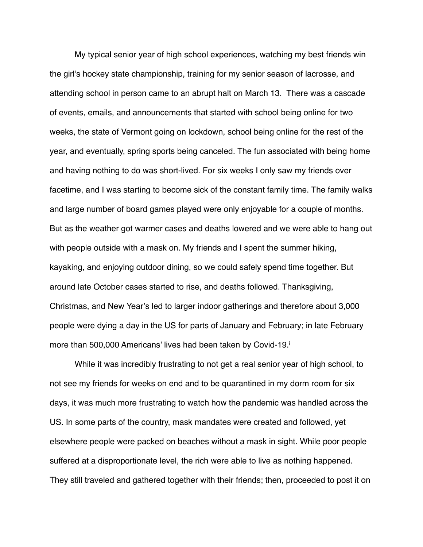My typical senior year of high school experiences, watching my best friends win the girl's hockey state championship, training for my senior season of lacrosse, and attending school in person came to an abrupt halt on March 13. There was a cascade of events, emails, and announcements that started with school being online for two weeks, the state of Vermont going on lockdown, school being online for the rest of the year, and eventually, spring sports being canceled. The fun associated with being home and having nothing to do was short-lived. For six weeks I only saw my friends over facetime, and I was starting to become sick of the constant family time. The family walks and large number of board games played were only enjoyable for a couple of months. But as the weather got warmer cases and deaths lowered and we were able to hang out with people outside with a mask on. My friends and I spent the summer hiking, kayaking, and enjoying outdoor dining, so we could safely spend time together. But around late October cases started to rise, and deaths followed. Thanksgiving, Christmas, and New Year's led to larger indoor gatherings and therefore about 3,000 people were dying a day in the US for parts of January and February; in late February more than 500,000 Americans' lives had been taken by Covid-19.i

 While it was incredibly frustrating to not get a real senior year of high school, to not see my friends for weeks on end and to be quarantined in my dorm room for six days, it was much more frustrating to watch how the pandemic was handled across the US. In some parts of the country, mask mandates were created and followed, yet elsewhere people were packed on beaches without a mask in sight. While poor people suffered at a disproportionate level, the rich were able to live as nothing happened. They still traveled and gathered together with their friends; then, proceeded to post it on